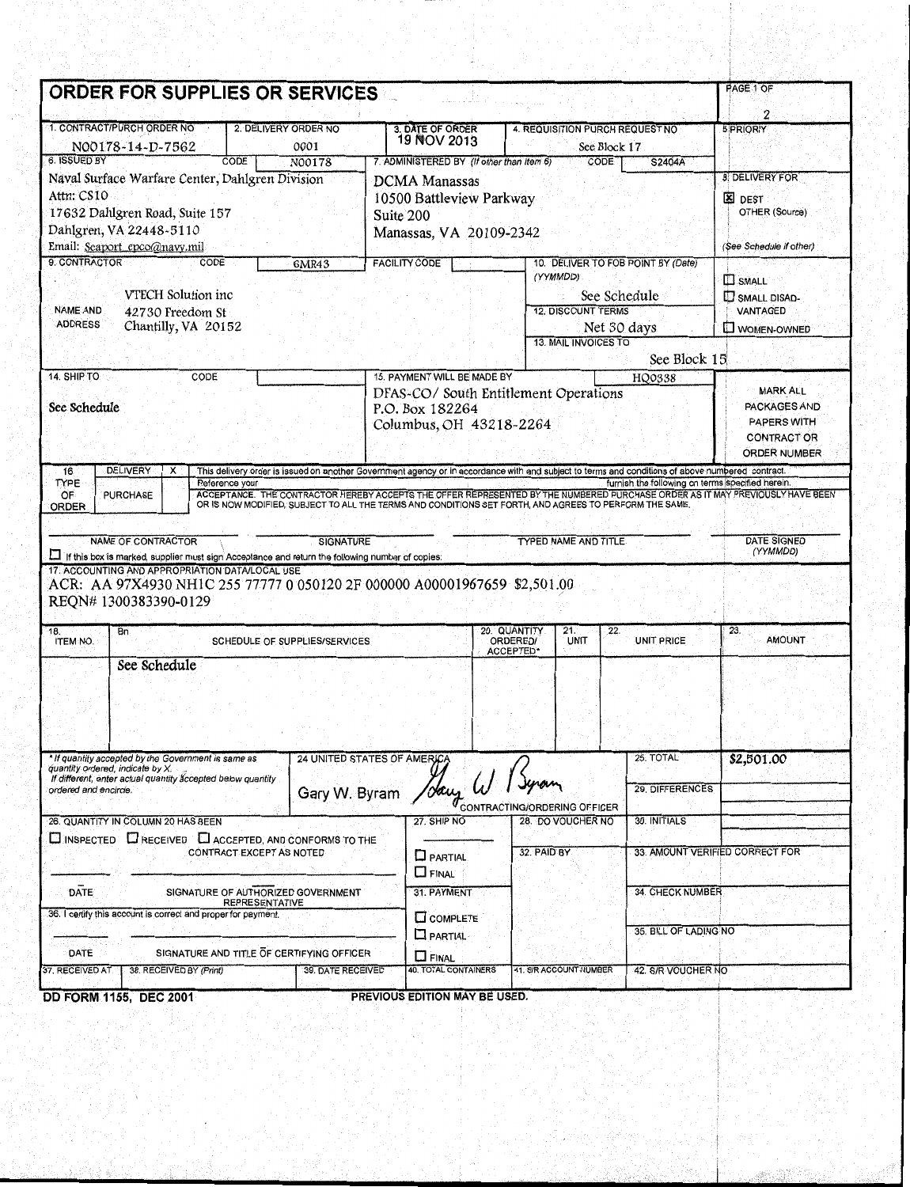|                                                                                           | ORDER FOR SUPPLIES OR SERVICES                                                                  |                                                             |                  |                                                                                                                                                  |                                            |                             |                                                  |                                           |  |
|-------------------------------------------------------------------------------------------|-------------------------------------------------------------------------------------------------|-------------------------------------------------------------|------------------|--------------------------------------------------------------------------------------------------------------------------------------------------|--------------------------------------------|-----------------------------|--------------------------------------------------|-------------------------------------------|--|
|                                                                                           | 1. CONTRACT/PURCH ORDER NO                                                                      |                                                             |                  |                                                                                                                                                  |                                            |                             |                                                  | 2                                         |  |
|                                                                                           | N00178-14-D-7562                                                                                | 2. DELIVERY ORDER NO                                        | 0001             | 3. DATE OF ORDER<br>19 NOV 2013                                                                                                                  |                                            | See Block 17                | 4. REQUISITION PURCH REQUEST NO                  | 5 PRIORIY                                 |  |
| 6. ISSUED BY                                                                              | Naval Surface Warfare Center, Dahlgren Division                                                 | CODE                                                        | N00178           | 7. ADMINISTERED BY (If other than Item 6)                                                                                                        |                                            | <b>CODE</b>                 | S2404A                                           | <b>8. DELIVERY FOR</b>                    |  |
|                                                                                           |                                                                                                 |                                                             |                  | DCMA Manassas                                                                                                                                    |                                            |                             |                                                  | <b>X</b> DEST                             |  |
| Attn: CS10                                                                                |                                                                                                 |                                                             |                  | 10500 Battleview Parkway                                                                                                                         |                                            |                             |                                                  |                                           |  |
| 17632 Dahlgren Road, Suite 157<br>Dahlgren, VA 22448-5110<br>Email: Seaport epco@navy.mil |                                                                                                 |                                                             |                  | Suite 200<br>Manassas, VA 20109-2342                                                                                                             |                                            |                             |                                                  |                                           |  |
|                                                                                           |                                                                                                 |                                                             |                  |                                                                                                                                                  |                                            |                             |                                                  |                                           |  |
| 9. CONTRACTOR                                                                             | CODE                                                                                            |                                                             | <b>6MR43</b>     | <b>FACILITY CODE</b>                                                                                                                             |                                            |                             | 10. DELIVER TO FOB POINT BY (Date)               | (See Schedule if other)                   |  |
|                                                                                           |                                                                                                 |                                                             |                  |                                                                                                                                                  |                                            | (YYMMDD)                    |                                                  | <b>D</b> SMALL                            |  |
|                                                                                           | VTECH Solution inc.                                                                             |                                                             |                  |                                                                                                                                                  |                                            |                             | See Schedule                                     | SMALL DISAD-                              |  |
| <b>NAME AND</b>                                                                           | 42730 Freedom St                                                                                |                                                             |                  |                                                                                                                                                  |                                            | <b>12. DISCOUNT TERMS</b>   |                                                  | VANTAGED                                  |  |
| <b>ADDRESS</b>                                                                            | Chantilly, VA 20152                                                                             |                                                             |                  |                                                                                                                                                  |                                            |                             | Net 30 days                                      | <b>NOMEN-OWNED</b>                        |  |
|                                                                                           |                                                                                                 |                                                             |                  |                                                                                                                                                  |                                            | <b>13. MAIL INVOICES TO</b> |                                                  |                                           |  |
|                                                                                           |                                                                                                 |                                                             |                  |                                                                                                                                                  |                                            |                             | See Block 15                                     |                                           |  |
| 14. SHIP TO                                                                               | CODE                                                                                            |                                                             |                  | 15. PAYMENT WILL BE MADE BY<br>DFAS-CO/South Entitlement Operations                                                                              |                                            |                             | HQ0338                                           | <b>MARK ALL</b>                           |  |
| See Schedule                                                                              |                                                                                                 |                                                             |                  | P.O. Box 182264                                                                                                                                  |                                            |                             |                                                  | PACKAGES AND                              |  |
|                                                                                           |                                                                                                 |                                                             |                  | Columbus, OH 43218-2264                                                                                                                          |                                            |                             |                                                  | <b>PAPERS WITH</b>                        |  |
|                                                                                           |                                                                                                 |                                                             |                  |                                                                                                                                                  |                                            |                             |                                                  | <b>CONTRACT OR</b><br><b>ORDER NUMBER</b> |  |
|                                                                                           |                                                                                                 |                                                             |                  |                                                                                                                                                  |                                            |                             |                                                  |                                           |  |
| 16<br>TYPE                                                                                | DELIVERY<br>х                                                                                   | Reference your                                              |                  | This delivery order is issued on another Government agency or in accordance with and subject to terms and conditions of above numbered contract. |                                            |                             | furnish the following on terms specified herein. |                                           |  |
|                                                                                           |                                                                                                 |                                                             |                  |                                                                                                                                                  |                                            |                             |                                                  |                                           |  |
| OF.                                                                                       | <b>PURCHASE</b>                                                                                 |                                                             |                  | ACCEPTANCE. THE CONTRACTOR HEREBY ACCEPTS THE OFFER REPRESENTED BY THE NUMBERED PURCHASE ORDER AS IT MAY PREVIOUSLY HAVE BEEN                    |                                            |                             |                                                  |                                           |  |
| ORDER                                                                                     |                                                                                                 |                                                             |                  | OR IS NOW MODIFIED, SUBJECT TO ALL THE TERMS AND CONDITIONS SET FORTH, AND AGREES TO PERFORM THE SAME.                                           |                                            |                             |                                                  |                                           |  |
|                                                                                           |                                                                                                 |                                                             |                  |                                                                                                                                                  |                                            |                             |                                                  |                                           |  |
|                                                                                           | <b>NAME OF CONTRACTOR</b>                                                                       |                                                             | <b>SIGNATURE</b> |                                                                                                                                                  |                                            | <b>TYPED NAME AND TITLE</b> |                                                  | <b>DATE SIGNED</b>                        |  |
|                                                                                           | If this box is marked, supplier must sign Acceptance and return the following number of copies: |                                                             |                  |                                                                                                                                                  |                                            |                             |                                                  | (YYMMDD)                                  |  |
|                                                                                           | 17. ACCOUNTING AND APPROPRIATION DATA/LOCAL USE                                                 |                                                             |                  |                                                                                                                                                  |                                            |                             |                                                  |                                           |  |
|                                                                                           | REQN#1300383390-0129                                                                            |                                                             |                  | ACR: AA 97X4930 NH1C 255 77777 0 050120 2F 000000 A00001967659 \$2,501.00                                                                        |                                            |                             |                                                  |                                           |  |
|                                                                                           |                                                                                                 |                                                             |                  |                                                                                                                                                  |                                            |                             |                                                  |                                           |  |
| <b>ITEM NO.</b>                                                                           | Bn                                                                                              | SCHEDULE OF SUPPLIES/SERVICES                               |                  |                                                                                                                                                  | 20. QUANTITY<br>ORDERED/                   | 21.<br>UNIT                 | 22.<br>UNIT PRICE                                | 23.<br><b>AMOUNT</b>                      |  |
| 18.                                                                                       |                                                                                                 |                                                             |                  |                                                                                                                                                  | ACCEPTED*                                  |                             |                                                  |                                           |  |
|                                                                                           | See Schedule                                                                                    |                                                             |                  |                                                                                                                                                  |                                            |                             |                                                  |                                           |  |
|                                                                                           |                                                                                                 |                                                             |                  |                                                                                                                                                  |                                            |                             |                                                  |                                           |  |
|                                                                                           |                                                                                                 |                                                             |                  |                                                                                                                                                  |                                            |                             |                                                  |                                           |  |
|                                                                                           |                                                                                                 |                                                             |                  |                                                                                                                                                  |                                            |                             |                                                  |                                           |  |
|                                                                                           |                                                                                                 |                                                             |                  |                                                                                                                                                  |                                            |                             |                                                  |                                           |  |
| quantity ordered, indicate by X.                                                          | * If quantity accepted by the Government is same as                                             |                                                             |                  | 24 UNITED STATES OF AMERICA                                                                                                                      |                                            |                             | 25. TOTAL                                        | \$2,501.00                                |  |
|                                                                                           | If different, enter actual quantity accepted below quantity                                     |                                                             |                  |                                                                                                                                                  |                                            |                             |                                                  |                                           |  |
|                                                                                           |                                                                                                 |                                                             | Gary W. Byram    | 'day W                                                                                                                                           |                                            |                             | 29. DIFFERENCES                                  |                                           |  |
| ordered and encircle.                                                                     | 26. QUANTITY IN COLUMN 20 HAS BEEN                                                              |                                                             |                  | 27. SHIP NO                                                                                                                                      | $\sigma_{\rm contracTING/ORDERING$ OFFICER | 28. DO VOUCHER NO           | 30. INITIALS                                     |                                           |  |
|                                                                                           |                                                                                                 |                                                             |                  |                                                                                                                                                  |                                            |                             |                                                  |                                           |  |
|                                                                                           | CINSPECTED C RECEIVED C ACCEPTED, AND CONFORMS TO THE                                           | CONTRACT EXCEPT AS NOTED                                    |                  |                                                                                                                                                  | 32. PAID BY                                |                             |                                                  | 33. AMOUNT VERIFIED CORRECT FOR           |  |
|                                                                                           |                                                                                                 |                                                             |                  | $\Box$ PARTIAL                                                                                                                                   |                                            |                             |                                                  |                                           |  |
|                                                                                           |                                                                                                 |                                                             |                  | <b>LE FINAL</b>                                                                                                                                  |                                            |                             |                                                  |                                           |  |
| <b>DATE</b>                                                                               |                                                                                                 | SIGNATURE OF AUTHORIZED GOVERNMENT<br><b>REPRESENTATIVE</b> |                  | 31. PAYMENT                                                                                                                                      |                                            |                             | 34. CHECK NUMBER                                 |                                           |  |
|                                                                                           | 36. I certify this account is correct and proper for payment.                                   |                                                             |                  | C COMPLETE                                                                                                                                       |                                            |                             |                                                  |                                           |  |
|                                                                                           |                                                                                                 |                                                             |                  | $\Box$ PARTIAL                                                                                                                                   |                                            |                             | 35. BILL OF LADING NO                            |                                           |  |
| DATE                                                                                      |                                                                                                 | SIGNATURE AND TITLE OF CERTIFYING OFFICER                   |                  | $\Box$ FINAL                                                                                                                                     |                                            |                             |                                                  |                                           |  |